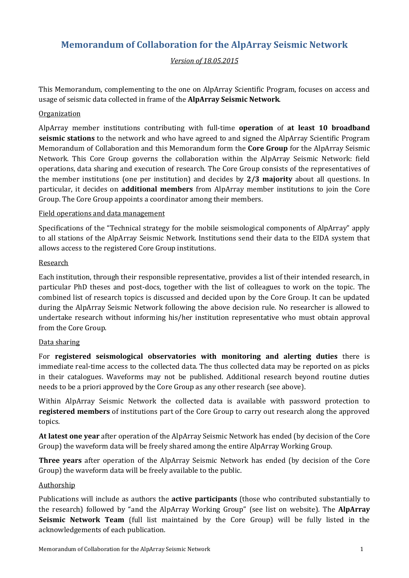# **Memorandum of Collaboration for the AlpArray Seismic Network**

## *Version of 18.05.2015*

This Memorandum, complementing to the one on AlpArray Scientific Program, focuses on access and usage of seismic data collected in frame of the **AlpArray Seismic Network**.

### **Organization**

AlpArray member institutions contributing with full-time **operation** of **at least 10 broadband seismic stations** to the network and who have agreed to and signed the AlpArray Scientific Program Memorandum of Collaboration and this Memorandum form the **Core Group** for the AlpArray Seismic Network. This Core Group governs the collaboration within the AlpArray Seismic Network: field operations, data sharing and execution of research. The Core Group consists of the representatives of the member institutions (one per institution) and decides by **2/3 majority** about all questions. In particular, it decides on **additional members** from AlpArray member institutions to join the Core Group. The Core Group appoints a coordinator among their members.

#### Field operations and data management

Specifications of the "Technical strategy for the mobile seismological components of AlpArray" apply to all stations of the AlpArray Seismic Network. Institutions send their data to the EIDA system that allows access to the registered Core Group institutions.

#### Research

Each institution, through their responsible representative, provides a list of their intended research, in particular PhD theses and post-docs, together with the list of colleagues to work on the topic. The combined list of research topics is discussed and decided upon by the Core Group. It can be updated during the AlpArray Seismic Network following the above decision rule. No researcher is allowed to undertake research without informing his/her institution representative who must obtain approval from the Core Group.

#### Data sharing

For **registered seismological observatories with monitoring and alerting duties** there is immediate real-time access to the collected data. The thus collected data may be reported on as picks in their catalogues. Waveforms may not be published. Additional research beyond routine duties needs to be a priori approved by the Core Group as any other research (see above).

Within AlpArray Seismic Network the collected data is available with password protection to **registered members** of institutions part of the Core Group to carry out research along the approved topics.

**At latest one year** after operation of the AlpArray Seismic Network has ended (by decision of the Core Group) the waveform data will be freely shared among the entire AlpArray Working Group.

**Three years** after operation of the AlpArray Seismic Network has ended (by decision of the Core Group) the waveform data will be freely available to the public.

#### Authorship

Publications will include as authors the **active participants** (those who contributed substantially to the research) followed by "and the AlpArray Working Group" (see list on website). The **AlpArray Seismic Network Team** (full list maintained by the Core Group) will be fully listed in the acknowledgements of each publication.